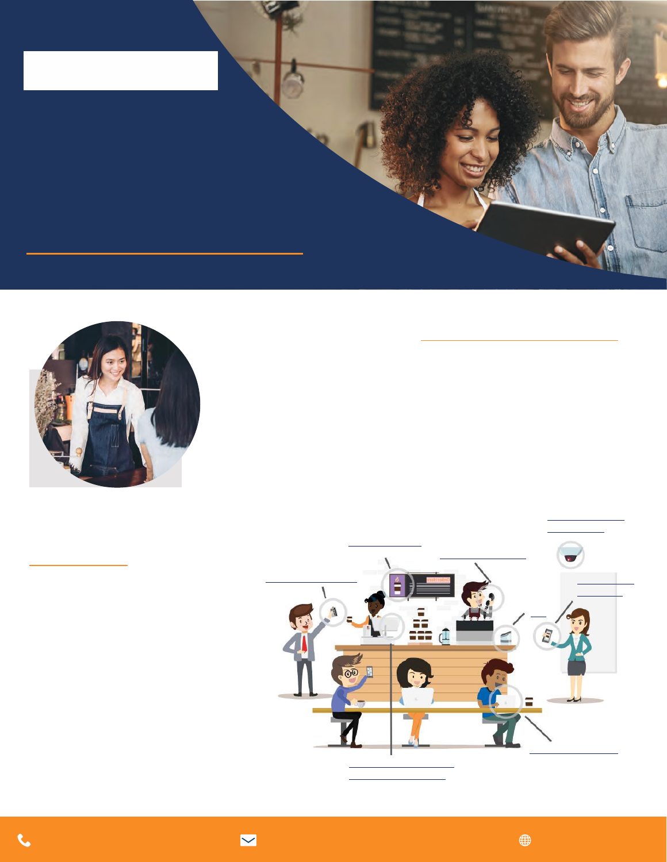# 5HOLDEOH DQG 5HSHDWDEOH 7HFKQRORJ\ 6ROXWLRQV IRU 5HWDI

\*HW DQ\ EXVLQHVV XS DQG UXQQLQJ ZKLOH VWD FRPSOLDQW ZLWK IXOO\ WHPSODWHG RU FXVV VROXWLRQV EXLOW IRU WKH UHWDLO LQGXVWU\ & \$ 1 **IRXU VLQJOH SRLQW RI FRQWDFW WR PDNH LW DOO KDSSHQ** 



# $\%$  X L O W I R U  $\leq$  R X

SV FXVWRPHU GHPDQGV LQFUHDVH DQG WKH QHHG WR PRUH LPSRUWDQW WKDQ HYHU WHFKQRORJ\ FRQWLQXH EXVLQHVVHV ERWWRP OLQH

\$W&\$1',' ZH YH GHYHORSHG D UHSHDWDEOH PRGHO WKI WKH DELOLW\ WR VWUDWHJLFDOO\ PDQDJH WKHLU HQV HIILFLHQWO\ %\ SURYLGLQJ SURYHQ FRVW HIIHFWLYH JXHVVZRUN RXW RI WKH DUFKLWHFWXUH DQG PDQDJHPI ZKLFK SXWV PRUH WLPH EDFN RQ \RXU FDOHQGDU WR L

> & *EHUVHFXULW* **&RPSOLDQFH**

'HYLFH ODQDJHPHQW

**&RQWDFWOI** 

**6ROXWLRQV** 

# 7 HFKQRORJ\6ROXWJLWBoQHV

#### 3KRQHV ,QWHUQHW

22

#### **3RLQW RI RBOH**

2XU DSSURDFK LV WR SURYLGH EXVLQHVV RZQHUV ZLWK D XQLIRUP VWUDWHJLF PRG WKDW LV ERWK VFDODEOH DQG SUHGLFWDFOH H YH SDUWQHUHG ZLWK WRS VXSSOLHUV I<mark>ru</mark><br>HDFK WHFKQRORJ\ WR SURYLGH FX<mark>VWRPHUV</mark> ZLWK DFFHVV WR DQ HIWHQVLYH UDQJH RY FDUULHU DQEOD FOYBAXU SILFHV **1 Go** 

:KHWKHU \RX UH ORRNLGULRH D PHWWHU RQ3RQHV , QWDHUPQRHUWH UHOLDEOH 326 VIVWHP RU D QR FRVW FRQVXOWDWLRQ AQ KRZ WR UHGXFH \RXU&\$71 'VSLHQQHDG\ WR KHOS

+ DUGZDUH (TXLSPHQW **6RIWZDUH DQG (PDLO**